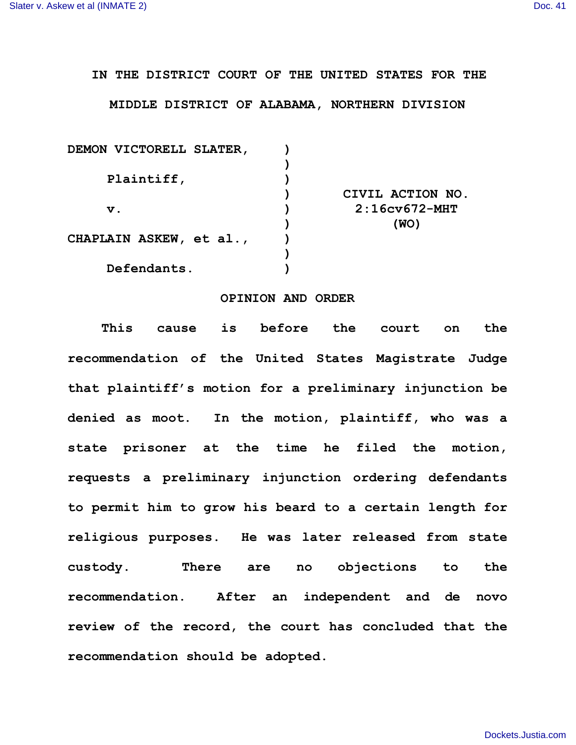## **IN THE DISTRICT COURT OF THE UNITED STATES FOR THE**

## **MIDDLE DISTRICT OF ALABAMA, NORTHERN DIVISION**

| DEMON VICTORELL SLATER, |                  |
|-------------------------|------------------|
|                         |                  |
| Plaintiff,              |                  |
|                         | CIVIL ACTION NO. |
| $\mathbf v$ .           | $2:16cv672-MHT$  |
|                         | (WO)             |
| CHAPLAIN ASKEW, et al., |                  |
|                         |                  |
| Defendants.             |                  |

## **OPINION AND ORDER**

**This cause is before the court on the recommendation of the United States Magistrate Judge that plaintiff's motion for a preliminary injunction be denied as moot. In the motion, plaintiff, who was a state prisoner at the time he filed the motion, requests a preliminary injunction ordering defendants to permit him to grow his beard to a certain length for religious purposes. He was later released from state custody. There are no objections to the recommendation. After an independent and de novo review of the record, the court has concluded that the recommendation should be adopted.**